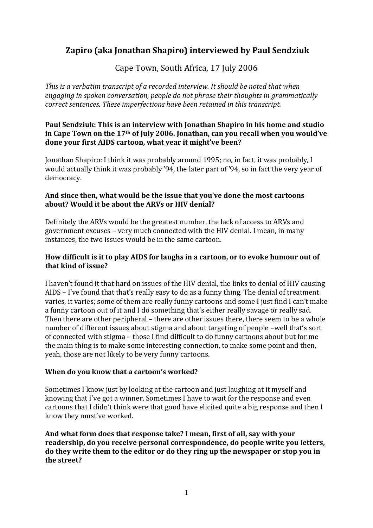# **Zapiro (aka Jonathan Shapiro) interviewed by Paul Sendziuk**

Cape Town, South Africa, 17 July 2006

*This is a verbatim transcript of a recorded interview. It should be noted that when engaging in spoken conversation, people do not phrase their thoughts in grammatically correct sentences. These imperfections have been retained in this transcript.* 

# **Paul Sendziuk: This is an interview with Jonathan Shapiro in his home and studio in Cape Town on the 17th of July 2006. Jonathan, can you recall when you would've done your first AIDS cartoon, what year it might've been?**

Jonathan Shapiro: I think it was probably around 1995; no, in fact, it was probably, I would actually think it was probably '94, the later part of '94, so in fact the very year of democracy.

# **And since then, what would be the issue that you've done the most cartoons about? Would it be about the ARVs or HIV denial?**

Definitely the ARVs would be the greatest number, the lack of access to ARVs and government excuses – very much connected with the HIV denial. I mean, in many instances, the two issues would be in the same cartoon.

# **How difficult is it to play AIDS for laughs in a cartoon, or to evoke humour out of that kind of issue?**

I haven't found it that hard on issues of the HIV denial, the links to denial of HIV causing AIDS – I've found that that's really easy to do as a funny thing. The denial of treatment varies, it varies; some of them are really funny cartoons and some I just find I can't make a funny cartoon out of it and I do something that's either really savage or really sad. Then there are other peripheral – there are other issues there, there seem to be a whole number of different issues about stigma and about targeting of people –well that's sort of connected with stigma – those I find difficult to do funny cartoons about but for me the main thing is to make some interesting connection, to make some point and then, yeah, those are not likely to be very funny cartoons.

# **When do you know that a cartoon's worked?**

Sometimes I know just by looking at the cartoon and just laughing at it myself and knowing that I've got a winner. Sometimes I have to wait for the response and even cartoons that I didn't think were that good have elicited quite a big response and then I know they must've worked.

**And what form does that response take? I mean, first of all, say with your readership, do you receive personal correspondence, do people write you letters, do they write them to the editor or do they ring up the newspaper or stop you in the street?**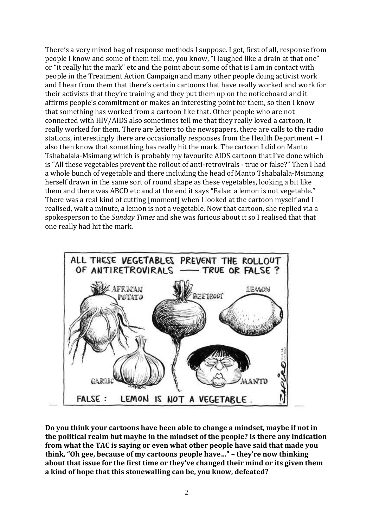There's a very mixed bag of response methods I suppose. I get, first of all, response from people I know and some of them tell me, you know, "I laughed like a drain at that one" or "it really hit the mark" etc and the point about some of that is I am in contact with people in the Treatment Action Campaign and many other people doing activist work and I hear from them that there's certain cartoons that have really worked and work for their activists that they're training and they put them up on the noticeboard and it affirms people's commitment or makes an interesting point for them, so then I know that something has worked from a cartoon like that. Other people who are not connected with HIV/AIDS also sometimes tell me that they really loved a cartoon, it really worked for them. There are letters to the newspapers, there are calls to the radio stations, interestingly there are occasionally responses from the Health Department – I also then know that something has really hit the mark. The cartoon I did on Manto Tshabalala-Msimang which is probably my favourite AIDS cartoon that I've done which is "All these vegetables prevent the rollout of anti-retrovirals - true or false?" Then I had a whole bunch of vegetable and there including the head of Manto Tshabalala-Msimang herself drawn in the same sort of round shape as these vegetables, looking a bit like them and there was ABCD etc and at the end it says "False: a lemon is not vegetable." There was a real kind of cutting [moment] when I looked at the cartoon myself and I realised, wait a minute, a lemon is not a vegetable. Now that cartoon, she replied via a spokesperson to the *Sunday Times* and she was furious about it so I realised that that one really had hit the mark.



**Do you think your cartoons have been able to change a mindset, maybe if not in the political realm but maybe in the mindset of the people? Is there any indication from what the TAC is saying or even what other people have said that made you think, "Oh gee, because of my cartoons people have…" – they're now thinking about that issue for the first time or they've changed their mind or its given them a kind of hope that this stonewalling can be, you know, defeated?**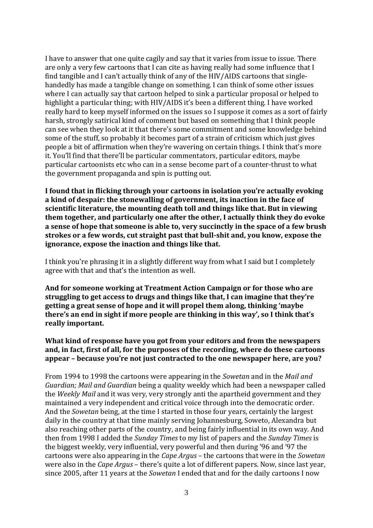I have to answer that one quite cagily and say that it varies from issue to issue. There are only a very few cartoons that I can cite as having really had some influence that I find tangible and I can't actually think of any of the HIV/AIDS cartoons that singlehandedly has made a tangible change on something. I can think of some other issues where I can actually say that cartoon helped to sink a particular proposal or helped to highlight a particular thing; with HIV/AIDS it's been a different thing. I have worked really hard to keep myself informed on the issues so I suppose it comes as a sort of fairly harsh, strongly satirical kind of comment but based on something that I think people can see when they look at it that there's some commitment and some knowledge behind some of the stuff, so probably it becomes part of a strain of criticism which just gives people a bit of affirmation when they're wavering on certain things. I think that's more it. You'll find that there'll be particular commentators, particular editors, maybe particular cartoonists etc who can in a sense become part of a counter-thrust to what the government propaganda and spin is putting out.

**I found that in flicking through your cartoons in isolation you're actually evoking a kind of despair: the stonewalling of government, its inaction in the face of scientific literature, the mounting death toll and things like that. But in viewing them together, and particularly one after the other, I actually think they do evoke a sense of hope that someone is able to, very succinctly in the space of a few brush strokes or a few words, cut straight past that bull-shit and, you know, expose the ignorance, expose the inaction and things like that.**

I think you're phrasing it in a slightly different way from what I said but I completely agree with that and that's the intention as well.

**And for someone working at Treatment Action Campaign or for those who are struggling to get access to drugs and things like that, I can imagine that they're getting a great sense of hope and it will propel them along, thinking 'maybe there's an end in sight if more people are thinking in this way', so I think that's really important.** 

**What kind of response have you got from your editors and from the newspapers and, in fact, first of all, for the purposes of the recording, where do these cartoons appear – because you're not just contracted to the one newspaper here, are you?**

From 1994 to 1998 the cartoons were appearing in the *Sowetan* and in the *Mail and Guardian; Mail and Guardian* being a quality weekly which had been a newspaper called the *Weekly Mail* and it was very, very strongly anti the apartheid government and they maintained a very independent and critical voice through into the democratic order. And the *Sowetan* being, at the time I started in those four years, certainly the largest daily in the country at that time mainly serving Johannesburg, Soweto, Alexandra but also reaching other parts of the country, and being fairly influential in its own way. And then from 1998 I added the *Sunday Times* to my list of papers and the *Sunday Times* is the biggest weekly, very influential, very powerful and then during '96 and '97 the cartoons were also appearing in the *Cape Argus* – the cartoons that were in the *Sowetan* were also in the *Cape Argus* – there's quite a lot of different papers. Now, since last year, since 2005, after 11 years at the *Sowetan* I ended that and for the daily cartoons I now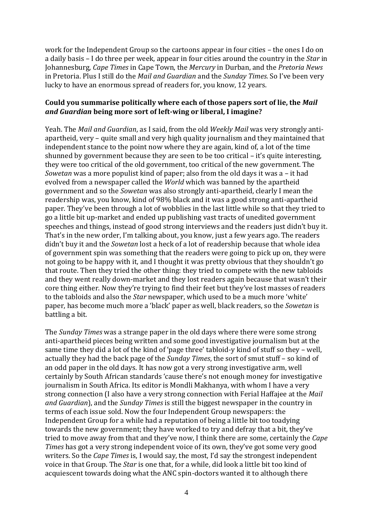work for the Independent Group so the cartoons appear in four cities – the ones I do on a daily basis – I do three per week, appear in four cities around the country in the *Star* in Johannesburg, *Cape Times* in Cape Town, the *Mercury* in Durban, and the *Pretoria News* in Pretoria. Plus I still do the *Mail and Guardian* and the *Sunday Times.* So I've been very lucky to have an enormous spread of readers for, you know, 12 years.

### **Could you summarise politically where each of those papers sort of lie, the** *Mail and Guardian* **being more sort of left-wing or liberal, I imagine?**

Yeah. The *Mail and Guardian*, as I said, from the old *Weekly Mail* was very strongly antiapartheid, very – quite small and very high quality journalism and they maintained that independent stance to the point now where they are again, kind of, a lot of the time shunned by government because they are seen to be too critical – it's quite interesting, they were too critical of the old government, too critical of the new government. The *Sowetan* was a more populist kind of paper; also from the old days it was a – it had evolved from a newspaper called the *World* which was banned by the apartheid government and so the *Sowetan* was also strongly anti-apartheid, clearly I mean the readership was, you know, kind of 98% black and it was a good strong anti-apartheid paper. They've been through a lot of wobblies in the last little while so that they tried to go a little bit up-market and ended up publishing vast tracts of unedited government speeches and things, instead of good strong interviews and the readers just didn't buy it. That's in the new order, I'm talking about, you know, just a few years ago. The readers didn't buy it and the *Sowetan* lost a heck of a lot of readership because that whole idea of government spin was something that the readers were going to pick up on, they were not going to be happy with it, and I thought it was pretty obvious that they shouldn't go that route. Then they tried the other thing: they tried to compete with the new tabloids and they went really down-market and they lost readers again because that wasn't their core thing either. Now they're trying to find their feet but they've lost masses of readers to the tabloids and also the *Star* newspaper, which used to be a much more 'white' paper, has become much more a 'black' paper as well, black readers, so the *Sowetan* is battling a bit.

The *Sunday Times* was a strange paper in the old days where there were some strong anti-apartheid pieces being written and some good investigative journalism but at the same time they did a lot of the kind of 'page three' tabloid-y kind of stuff so they – well, actually they had the back page of the *Sunday Times*, the sort of smut stuff – so kind of an odd paper in the old days. It has now got a very strong investigative arm, well certainly by South African standards 'cause there's not enough money for investigative journalism in South Africa. Its editor is Mondli Makhanya, with whom I have a very strong connection (I also have a very strong connection with Ferial Haffajee at the *Mail and Guardian*), and the *Sunday Times* is still the biggest newspaper in the country in terms of each issue sold. Now the four Independent Group newspapers: the Independent Group for a while had a reputation of being a little bit too toadying towards the new government; they have worked to try and defray that a bit, they've tried to move away from that and they've now, I think there are some, certainly the *Cape Times* has got a very strong independent voice of its own, they've got some very good writers. So the *Cape Times* is, I would say, the most, I'd say the strongest independent voice in that Group. The *Star* is one that, for a while, did look a little bit too kind of acquiescent towards doing what the ANC spin-doctors wanted it to although there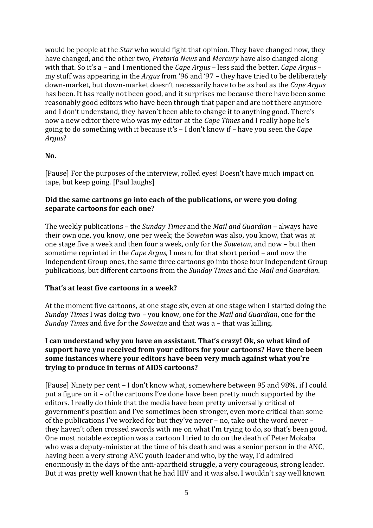would be people at the *Star* who would fight that opinion. They have changed now, they have changed, and the other two, *Pretoria News* and *Mercury* have also changed along with that. So it's a – and I mentioned the *Cape Argus* – less said the better. *Cape Argus* – my stuff was appearing in the *Argus* from '96 and '97 – they have tried to be deliberately down-market, but down-market doesn't necessarily have to be as bad as the *Cape Argus* has been. It has really not been good, and it surprises me because there have been some reasonably good editors who have been through that paper and are not there anymore and I don't understand, they haven't been able to change it to anything good. There's now a new editor there who was my editor at the *Cape Times* and I really hope he's going to do something with it because it's – I don't know if – have you seen the *Cape Argus*?

### **No.**

[Pause] For the purposes of the interview, rolled eyes! Doesn't have much impact on tape, but keep going. [Paul laughs]

### **Did the same cartoons go into each of the publications, or were you doing separate cartoons for each one?**

The weekly publications – the *Sunday Times* and the *Mail and Guardian* – always have their own one, you know, one per week; the *Sowetan* was also, you know, that was at one stage five a week and then four a week, only for the *Sowetan*, and now – but then sometime reprinted in the *Cape Argus*, I mean, for that short period – and now the Independent Group ones, the same three cartoons go into those four Independent Group publications, but different cartoons from the *Sunday Times* and the *Mail and Guardian*.

### **That's at least five cartoons in a week?**

At the moment five cartoons, at one stage six, even at one stage when I started doing the *Sunday Times* I was doing two – you know, one for the *Mail and Guardian*, one for the *Sunday Times* and five for the *Sowetan* and that was a – that was killing.

### **I can understand why you have an assistant. That's crazy! Ok, so what kind of support have you received from your editors for your cartoons? Have there been some instances where your editors have been very much against what you're trying to produce in terms of AIDS cartoons?**

[Pause] Ninety per cent – I don't know what, somewhere between 95 and 98%, if I could put a figure on it – of the cartoons I've done have been pretty much supported by the editors. I really do think that the media have been pretty universally critical of government's position and I've sometimes been stronger, even more critical than some of the publications I've worked for but they've never – no, take out the word never – they haven't often crossed swords with me on what I'm trying to do, so that's been good. One most notable exception was a cartoon I tried to do on the death of Peter Mokaba who was a deputy-minister at the time of his death and was a senior person in the ANC, having been a very strong ANC youth leader and who, by the way, I'd admired enormously in the days of the anti-apartheid struggle, a very courageous, strong leader. But it was pretty well known that he had HIV and it was also, I wouldn't say well known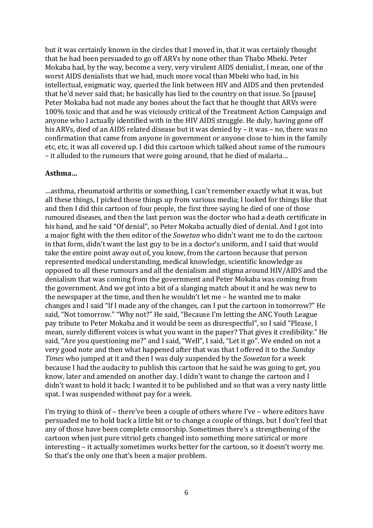but it was certainly known in the circles that I moved in, that it was certainly thought that he had been persuaded to go off ARVs by none other than Thabo Mbeki. Peter Mokaba had, by the way, become a very, very virulent AIDS denialist, I mean, one of the worst AIDS denialists that we had, much more vocal than Mbeki who had, in his intellectual, enigmatic way, queried the link between HIV and AIDS and then pretended that he'd never said that; he basically has lied to the country on that issue. So [pause] Peter Mokaba had not made any bones about the fact that he thought that ARVs were 100% toxic and that and he was viciously critical of the Treatment Action Campaign and anyone who I actually identified with in the HIV AIDS struggle. He duly, having gone off his ARVs, died of an AIDS related disease but it was denied by – it was – no, there was no confirmation that came from anyone in government or anyone close to him in the family etc, etc, it was all covered up. I did this cartoon which talked about some of the rumours – it alluded to the rumours that were going around, that he died of malaria…

#### **Asthma…**

…asthma, rheumatoid arthritis or something, I can't remember exactly what it was, but all these things, I picked those things up from various media; I looked for things like that and then I did this cartoon of four people, the first three saying he died of one of those rumoured diseases, and then the last person was the doctor who had a death certificate in his hand, and he said "Of denial", so Peter Mokaba actually died of denial. And I got into a major fight with the then editor of the *Sowetan* who didn't want me to do the cartoon in that form, didn't want the last guy to be in a doctor's uniform, and I said that would take the entire point away out of, you know, from the cartoon because that person represented medical understanding, medical knowledge, scientific knowledge as opposed to all these rumours and all the denialism and stigma around HIV/AIDS and the denialism that was coming from the government and Peter Mokaba was coming from the government. And we got into a bit of a slanging match about it and he was new to the newspaper at the time, and then he wouldn't let me – he wanted me to make changes and I said "If I made any of the changes, can I put the cartoon in tomorrow?" He said, "Not tomorrow." "Why not?" He said, "Because I'm letting the ANC Youth League pay tribute to Peter Mokaba and it would be seen as disrespectful", so I said "Please, I mean, surely different voices is what you want in the paper? That gives it credibility." He said, "Are you questioning me?" and I said, "Well", I said, "Let it go". We ended on not a very good note and then what happened after that was that I offered it to the *Sunday Times* who jumped at it and then I was duly suspended by the *Sowetan* for a week because I had the audacity to publish this cartoon that he said he was going to get, you know, later and amended on another day. I didn't want to change the cartoon and I didn't want to hold it back; I wanted it to be published and so that was a very nasty little spat. I was suspended without pay for a week.

I'm trying to think of – there've been a couple of others where I've – where editors have persuaded me to hold back a little bit or to change a couple of things, but I don't feel that any of those have been complete censorship. Sometimes there's a strengthening of the cartoon when just pure vitriol gets changed into something more satirical or more interesting – it actually sometimes works better for the cartoon, so it doesn't worry me. So that's the only one that's been a major problem.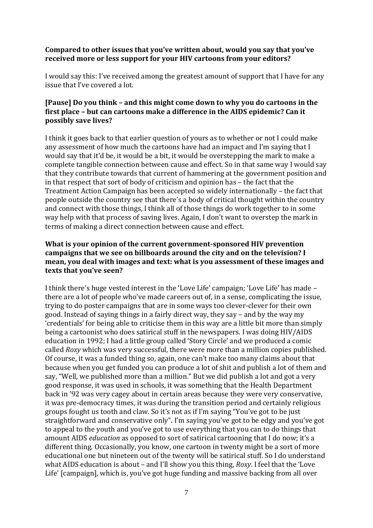### **Compared to other issues that you've written about, would you say that you've received more or less support for your HIV cartoons from your editors?**

I would say this: I've received among the greatest amount of support that I have for any issue that I've covered a lot.

### **[Pause] Do you think – and this might come down to why you do cartoons in the first place – but can cartoons make a difference in the AIDS epidemic? Can it possibly save lives?**

I think it goes back to that earlier question of yours as to whether or not I could make any assessment of how much the cartoons have had an impact and I'm saying that I would say that it'd be, it would be a bit, it would be overstepping the mark to make a complete tangible connection between cause and effect. So in that same way I would say that they contribute towards that current of hammering at the government position and in that respect that sort of body of criticism and opinion has – the fact that the Treatment Action Campaign has been accepted so widely internationally – the fact that people outside the country see that there's a body of critical thought within the country and connect with those things, I think all of those things do work together to in some way help with that process of saving lives. Again, I don't want to overstep the mark in terms of making a direct connection between cause and effect.

### **What is your opinion of the current government-sponsored HIV prevention campaigns that we see on billboards around the city and on the television? I mean, you deal with images and text: what is you assessment of these images and texts that you've seen?**

I think there's huge vested interest in the 'Love Life' campaign; 'Love Life' has made – there are a lot of people who've made careers out of, in a sense, complicating the issue, trying to do poster campaigns that are in some ways too clever-clever for their own good. Instead of saying things in a fairly direct way, they say – and by the way my 'credentials' for being able to criticise them in this way are a little bit more than simply being a cartoonist who does satirical stuff in the newspapers. I was doing HIV/AIDS education in 1992; I had a little group called 'Story Circle' and we produced a comic called *Roxy* which was very successful, there were more than a million copies published. Of course, it was a funded thing so, again, one can't make too many claims about that because when you get funded you can produce a lot of shit and publish a lot of them and say, "Well, we published more than a million." But we did publish a lot and got a very good response, it was used in schools, it was something that the Health Department back in '92 was very cagey about in certain areas because they were very conservative, it was pre-democracy times, it was during the transition period and certainly religious groups fought us tooth and claw. So it's not as if I'm saying "You've got to be just straightforward and conservative only". I'm saying you've got to be edgy and you've got to appeal to the youth and you've got to use everything that you can to do things that amount AIDS *education* as opposed to sort of satirical cartooning that I do now; it's a different thing. Occasionally, you know, one cartoon in twenty might be a sort of more educational one but nineteen out of the twenty will be satirical stuff. So I do understand what AIDS education is about – and I'll show you this thing, *Roxy*. I feel that the 'Love Life' [campaign], which is, you've got huge funding and massive backing from all over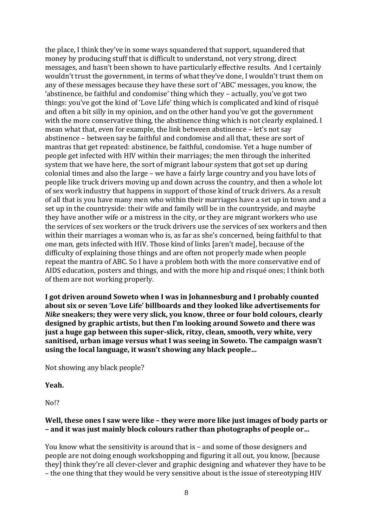the place, I think they've in some ways squandered that support, squandered that money by producing stuff that is difficult to understand, not very strong, direct messages, and hasn't been shown to have particularly effective results. And I certainly wouldn't trust the government, in terms of what they've done, I wouldn't trust them on any of these messages because they have these sort of 'ABC' messages, you know, the 'abstinence, be faithful and condomise' thing which they – actually, you've got two things: you've got the kind of 'Love Life' thing which is complicated and kind of risqué and often a bit silly in my opinion, and on the other hand you've got the government with the more conservative thing, the abstinence thing which is not clearly explained. I mean what that, even for example, the link between abstinence – let's not say abstinence – between say be faithful and condomise and all that, these are sort of mantras that get repeated: abstinence, be faithful, condomise. Yet a huge number of people get infected with HIV within their marriages; the men through the inherited system that we have here, the sort of migrant labour system that got set up during colonial times and also the large – we have a fairly large country and you have lots of people like truck drivers moving up and down across the country, and then a whole lot of sex work industry that happens in support of those kind of truck drivers. As a result of all that is you have many men who within their marriages have a set up in town and a set up in the countryside: their wife and family will be in the countryside, and maybe they have another wife or a mistress in the city, or they are migrant workers who use the services of sex workers or the truck drivers use the services of sex workers and then within their marriages a woman who is, as far as she's concerned, being faithful to that one man, gets infected with HIV. Those kind of links [aren't made], because of the difficulty of explaining those things and are often not properly made when people repeat the mantra of ABC. So I have a problem both with the more conservative end of AIDS education, posters and things, and with the more hip and risqué ones; I think both of them are not working properly.

**I got driven around Soweto when I was in Johannesburg and I probably counted about six or seven 'Love Life' billboards and they looked like advertisements for**  *Nike* **sneakers; they were very slick, you know, three or four bold colours, clearly designed by graphic artists, but then I'm looking around Soweto and there was just a huge gap between this super-slick, ritzy, clean, smooth, very white, very sanitised, urban image versus what I was seeing in Soweto. The campaign wasn't using the local language, it wasn't showing any black people…**

Not showing any black people?

### **Yeah.**

No!?

### **Well, these ones I saw were like – they were more like just images of body parts or – and it was just mainly block colours rather than photographs of people or…**

You know what the sensitivity is around that is – and some of those designers and people are not doing enough workshopping and figuring it all out, you know, [because they] think they're all clever-clever and graphic designing and whatever they have to be – the one thing that they would be very sensitive about is the issue of stereotyping HIV